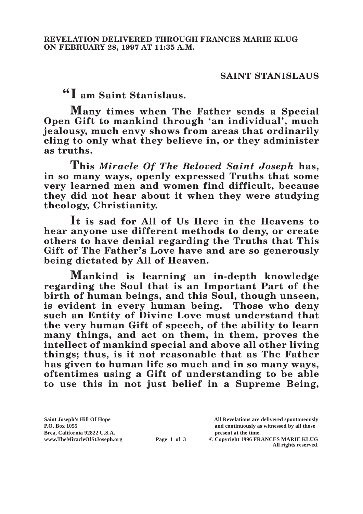## **SAINT STANISLAUS**

**"I am Saint Stanislaus.**

**Many times when The Father sends a Special Open Gift to mankind through 'an individual', much jealousy, much envy shows from areas that ordinarily cling to only what they believe in, or they administer as truths.**

**This** *Miracle Of The Beloved Saint Joseph* **has, in so many ways, openly expressed Truths that some very learned men and women find difficult, because they did not hear about it when they were studying theology, Christianity.**

**It is sad for All of Us Here in the Heavens to hear anyone use different methods to deny, or create others to have denial regarding the Truths that This Gift of The Father's Love have and are so generously being dictated by All of Heaven.**

**Mankind is learning an in-depth knowledge regarding the Soul that is an Important Part of the birth of human beings, and this Soul, though unseen, is evident in every human being. Those who deny such an Entity of Divine Love must understand that the very human Gift of speech, of the ability to learn many things, and act on them, in them, proves the intellect of mankind special and above all other living things; thus, is it not reasonable that as The Father has given to human life so much and in so many ways, oftentimes using a Gift of understanding to be able to use this in not just belief in a Supreme Being,** 

Brea, California 92822 U.S.A.<br>
www.TheMiracleOfStJoseph.org<br> **Page 1 of 3** © Copyright 1996 FR.

**Saint Joseph's Hill Of Hope All Revelations are delivered spontaneously P.O. Box 1055 and continuously as witnessed by all those** 

**Page 1 of 3** © Copyright 1996 FRANCES MARIE KLUG **All rights reserved.**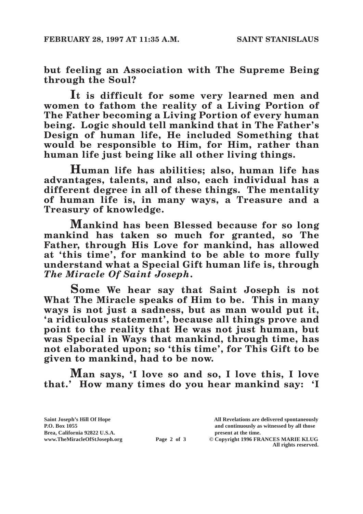**but feeling an Association with The Supreme Being through the Soul?**

**It is difficult for some very learned men and women to fathom the reality of a Living Portion of The Father becoming a Living Portion of every human being. Logic should tell mankind that in The Father's Design of human life, He included Something that would be responsible to Him, for Him, rather than human life just being like all other living things.**

**Human life has abilities; also, human life has advantages, talents, and also, each individual has a different degree in all of these things. The mentality of human life is, in many ways, a Treasure and a Treasury of knowledge.**

**Mankind has been Blessed because for so long mankind has taken so much for granted, so The Father, through His Love for mankind, has allowed at 'this time', for mankind to be able to more fully understand what a Special Gift human life is, through**  *The Miracle Of Saint Joseph***.**

**Some We hear say that Saint Joseph is not What The Miracle speaks of Him to be. This in many ways is not just a sadness, but as man would put it, 'a ridiculous statement', because all things prove and point to the reality that He was not just human, but was Special in Ways that mankind, through time, has not elaborated upon; so 'this time', for This Gift to be given to mankind, had to be now.**

**Man says, 'I love so and so, I love this, I love that.' How many times do you hear mankind say: 'I** 

**Saint Joseph's Hill Of Hope All Revelations are delivered spontaneously** Brea, California 92822 U.S.A.<br>
www.TheMiracleOfStJoseph.org<br> **Page 2 of 3** © Copyright 1996 FR.

**P.O. Box 1055 and continuously as witnessed by all those** 

**Page 2 of 3** © Copyright 1996 FRANCES MARIE KLUG **All rights reserved.**